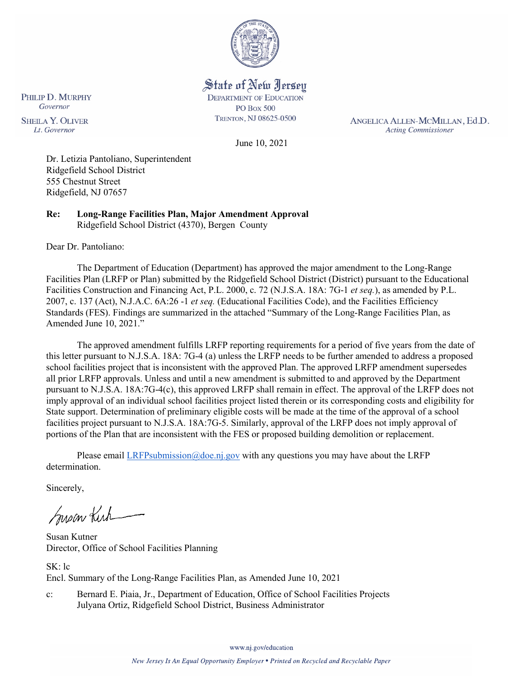

State of New Jersey **DEPARTMENT OF EDUCATION PO Box 500** TRENTON, NJ 08625-0500

ANGELICA ALLEN-MCMILLAN, Ed.D. **Acting Commissioner** 

**SHEILA Y. OLIVER** Lt. Governor

PHILIP D. MURPHY Governor

June 10, 2021

Dr. Letizia Pantoliano, Superintendent Ridgefield School District 555 Chestnut Street Ridgefield, NJ 07657

**Re: Long-Range Facilities Plan, Major Amendment Approval**  Ridgefield School District (4370), Bergen County

Dear Dr. Pantoliano:

The Department of Education (Department) has approved the major amendment to the Long-Range Facilities Plan (LRFP or Plan) submitted by the Ridgefield School District (District) pursuant to the Educational Facilities Construction and Financing Act, P.L. 2000, c. 72 (N.J.S.A. 18A: 7G-1 *et seq.*), as amended by P.L. 2007, c. 137 (Act), N.J.A.C. 6A:26 -1 *et seq.* (Educational Facilities Code), and the Facilities Efficiency Standards (FES). Findings are summarized in the attached "Summary of the Long-Range Facilities Plan, as Amended June 10, 2021."

The approved amendment fulfills LRFP reporting requirements for a period of five years from the date of this letter pursuant to N.J.S.A. 18A: 7G-4 (a) unless the LRFP needs to be further amended to address a proposed school facilities project that is inconsistent with the approved Plan. The approved LRFP amendment supersedes all prior LRFP approvals. Unless and until a new amendment is submitted to and approved by the Department pursuant to N.J.S.A. 18A:7G-4(c), this approved LRFP shall remain in effect. The approval of the LRFP does not imply approval of an individual school facilities project listed therein or its corresponding costs and eligibility for State support. Determination of preliminary eligible costs will be made at the time of the approval of a school facilities project pursuant to N.J.S.A. 18A:7G-5. Similarly, approval of the LRFP does not imply approval of portions of the Plan that are inconsistent with the FES or proposed building demolition or replacement.

Please email [LRFPsubmission@doe.nj.gov](mailto:LRFPsubmission@doe.nj.gov) with any questions you may have about the LRFP determination.

Sincerely,

Susan Kich

Susan Kutner Director, Office of School Facilities Planning

SK: lc Encl. Summary of the Long-Range Facilities Plan, as Amended June 10, 2021

c: Bernard E. Piaia, Jr., Department of Education, Office of School Facilities Projects Julyana Ortiz, Ridgefield School District, Business Administrator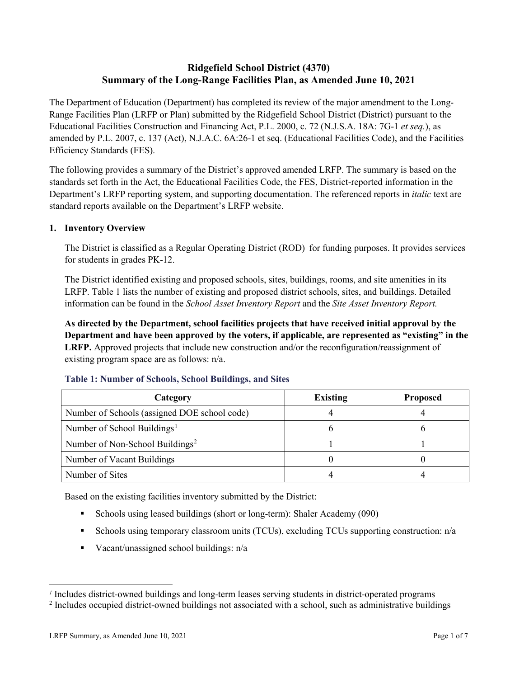# **Ridgefield School District (4370) Summary of the Long-Range Facilities Plan, as Amended June 10, 2021**

The Department of Education (Department) has completed its review of the major amendment to the Long-Range Facilities Plan (LRFP or Plan) submitted by the Ridgefield School District (District) pursuant to the Educational Facilities Construction and Financing Act, P.L. 2000, c. 72 (N.J.S.A. 18A: 7G-1 *et seq.*), as amended by P.L. 2007, c. 137 (Act), N.J.A.C. 6A:26-1 et seq. (Educational Facilities Code), and the Facilities Efficiency Standards (FES).

The following provides a summary of the District's approved amended LRFP. The summary is based on the standards set forth in the Act, the Educational Facilities Code, the FES, District-reported information in the Department's LRFP reporting system, and supporting documentation. The referenced reports in *italic* text are standard reports available on the Department's LRFP website.

### **1. Inventory Overview**

The District is classified as a Regular Operating District (ROD) for funding purposes. It provides services for students in grades PK-12.

The District identified existing and proposed schools, sites, buildings, rooms, and site amenities in its LRFP. Table 1 lists the number of existing and proposed district schools, sites, and buildings. Detailed information can be found in the *School Asset Inventory Report* and the *Site Asset Inventory Report.*

**As directed by the Department, school facilities projects that have received initial approval by the Department and have been approved by the voters, if applicable, are represented as "existing" in the LRFP.** Approved projects that include new construction and/or the reconfiguration/reassignment of existing program space are as follows: n/a.

| Category                                     | <b>Existing</b> | <b>Proposed</b> |
|----------------------------------------------|-----------------|-----------------|
| Number of Schools (assigned DOE school code) |                 |                 |
| Number of School Buildings <sup>1</sup>      |                 |                 |
| Number of Non-School Buildings <sup>2</sup>  |                 |                 |
| Number of Vacant Buildings                   |                 |                 |
| Number of Sites                              |                 |                 |

#### **Table 1: Number of Schools, School Buildings, and Sites**

Based on the existing facilities inventory submitted by the District:

- Schools using leased buildings (short or long-term): Shaler Academy (090)
- Schools using temporary classroom units (TCUs), excluding TCUs supporting construction: n/a
- Vacant/unassigned school buildings:  $n/a$

 $\overline{a}$ 

<span id="page-1-1"></span><span id="page-1-0"></span>*<sup>1</sup>* Includes district-owned buildings and long-term leases serving students in district-operated programs

<sup>&</sup>lt;sup>2</sup> Includes occupied district-owned buildings not associated with a school, such as administrative buildings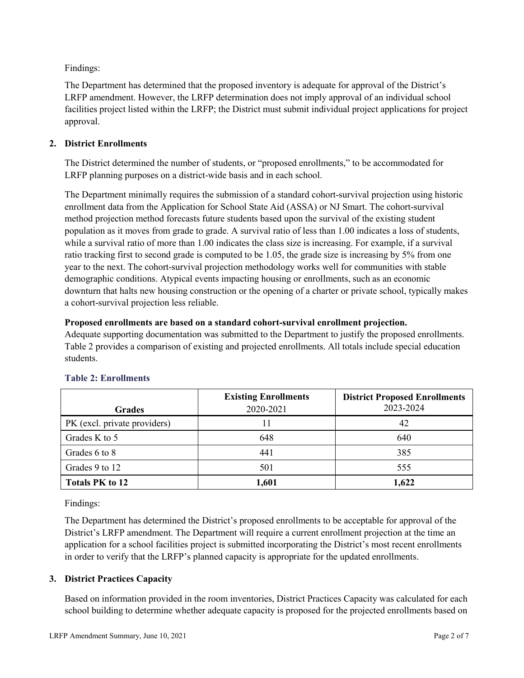Findings:

The Department has determined that the proposed inventory is adequate for approval of the District's LRFP amendment. However, the LRFP determination does not imply approval of an individual school facilities project listed within the LRFP; the District must submit individual project applications for project approval.

# **2. District Enrollments**

The District determined the number of students, or "proposed enrollments," to be accommodated for LRFP planning purposes on a district-wide basis and in each school.

The Department minimally requires the submission of a standard cohort-survival projection using historic enrollment data from the Application for School State Aid (ASSA) or NJ Smart. The cohort-survival method projection method forecasts future students based upon the survival of the existing student population as it moves from grade to grade. A survival ratio of less than 1.00 indicates a loss of students, while a survival ratio of more than 1.00 indicates the class size is increasing. For example, if a survival ratio tracking first to second grade is computed to be 1.05, the grade size is increasing by 5% from one year to the next. The cohort-survival projection methodology works well for communities with stable demographic conditions. Atypical events impacting housing or enrollments, such as an economic downturn that halts new housing construction or the opening of a charter or private school, typically makes a cohort-survival projection less reliable.

### **Proposed enrollments are based on a standard cohort-survival enrollment projection.**

Adequate supporting documentation was submitted to the Department to justify the proposed enrollments. Table 2 provides a comparison of existing and projected enrollments. All totals include special education students.

|                              | <b>Existing Enrollments</b> | <b>District Proposed Enrollments</b> |
|------------------------------|-----------------------------|--------------------------------------|
| <b>Grades</b>                | 2020-2021                   | 2023-2024                            |
| PK (excl. private providers) |                             | 42                                   |
| Grades K to 5                | 648                         | 640                                  |
| Grades 6 to 8                | 441                         | 385                                  |
| Grades 9 to 12               | 501                         | 555                                  |
| <b>Totals PK to 12</b>       | 1,601                       | 1,622                                |

# **Table 2: Enrollments**

Findings:

The Department has determined the District's proposed enrollments to be acceptable for approval of the District's LRFP amendment. The Department will require a current enrollment projection at the time an application for a school facilities project is submitted incorporating the District's most recent enrollments in order to verify that the LRFP's planned capacity is appropriate for the updated enrollments.

# **3. District Practices Capacity**

Based on information provided in the room inventories, District Practices Capacity was calculated for each school building to determine whether adequate capacity is proposed for the projected enrollments based on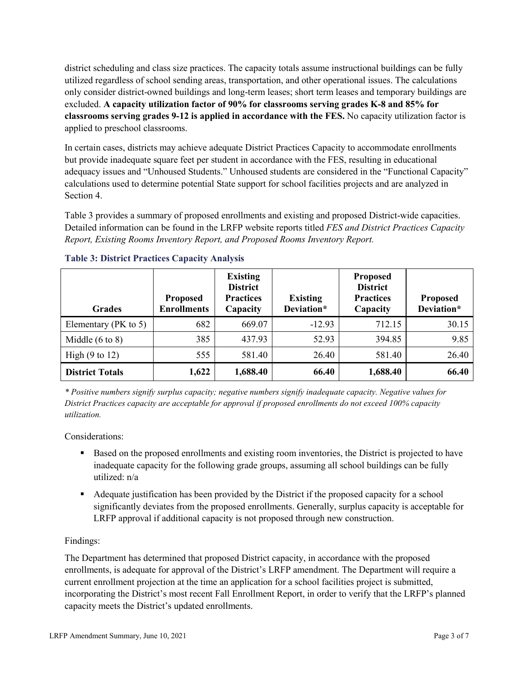district scheduling and class size practices. The capacity totals assume instructional buildings can be fully utilized regardless of school sending areas, transportation, and other operational issues. The calculations only consider district-owned buildings and long-term leases; short term leases and temporary buildings are excluded. **A capacity utilization factor of 90% for classrooms serving grades K-8 and 85% for classrooms serving grades 9-12 is applied in accordance with the FES.** No capacity utilization factor is applied to preschool classrooms.

In certain cases, districts may achieve adequate District Practices Capacity to accommodate enrollments but provide inadequate square feet per student in accordance with the FES, resulting in educational adequacy issues and "Unhoused Students." Unhoused students are considered in the "Functional Capacity" calculations used to determine potential State support for school facilities projects and are analyzed in Section 4.

Table 3 provides a summary of proposed enrollments and existing and proposed District-wide capacities. Detailed information can be found in the LRFP website reports titled *FES and District Practices Capacity Report, Existing Rooms Inventory Report, and Proposed Rooms Inventory Report.*

| <b>Grades</b>              | <b>Proposed</b><br><b>Enrollments</b> | <b>Existing</b><br><b>District</b><br><b>Practices</b><br>Capacity | <b>Existing</b><br>Deviation* | <b>Proposed</b><br><b>District</b><br><b>Practices</b><br>Capacity | <b>Proposed</b><br>Deviation* |
|----------------------------|---------------------------------------|--------------------------------------------------------------------|-------------------------------|--------------------------------------------------------------------|-------------------------------|
| Elementary ( $PK$ to 5)    | 682                                   | 669.07                                                             | $-12.93$                      | 712.15                                                             | 30.15                         |
| Middle $(6 \text{ to } 8)$ | 385                                   | 437.93                                                             | 52.93                         | 394.85                                                             | 9.85                          |
| High $(9 \text{ to } 12)$  | 555                                   | 581.40                                                             | 26.40                         | 581.40                                                             | 26.40                         |
| <b>District Totals</b>     | 1,622                                 | 1,688.40                                                           | 66.40                         | 1,688.40                                                           | 66.40                         |

# **Table 3: District Practices Capacity Analysis**

*\* Positive numbers signify surplus capacity; negative numbers signify inadequate capacity. Negative values for District Practices capacity are acceptable for approval if proposed enrollments do not exceed 100% capacity utilization.*

Considerations:

- Based on the proposed enrollments and existing room inventories, the District is projected to have inadequate capacity for the following grade groups, assuming all school buildings can be fully utilized: n/a
- Adequate justification has been provided by the District if the proposed capacity for a school significantly deviates from the proposed enrollments. Generally, surplus capacity is acceptable for LRFP approval if additional capacity is not proposed through new construction.

# Findings:

The Department has determined that proposed District capacity, in accordance with the proposed enrollments, is adequate for approval of the District's LRFP amendment. The Department will require a current enrollment projection at the time an application for a school facilities project is submitted, incorporating the District's most recent Fall Enrollment Report, in order to verify that the LRFP's planned capacity meets the District's updated enrollments.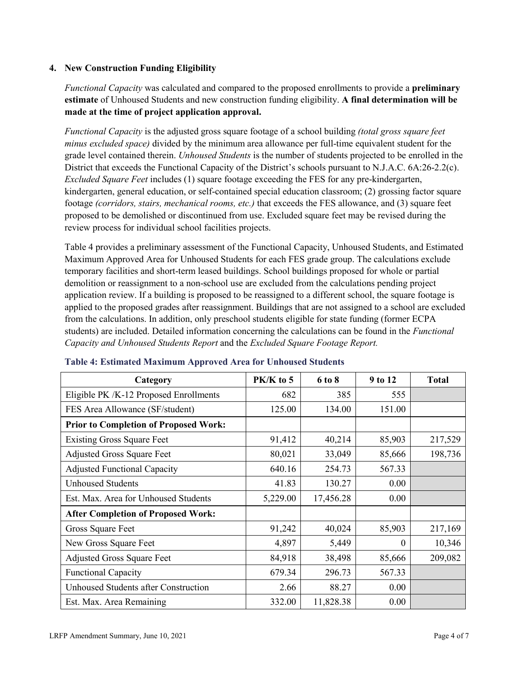### **4. New Construction Funding Eligibility**

*Functional Capacity* was calculated and compared to the proposed enrollments to provide a **preliminary estimate** of Unhoused Students and new construction funding eligibility. **A final determination will be made at the time of project application approval.**

*Functional Capacity* is the adjusted gross square footage of a school building *(total gross square feet minus excluded space)* divided by the minimum area allowance per full-time equivalent student for the grade level contained therein. *Unhoused Students* is the number of students projected to be enrolled in the District that exceeds the Functional Capacity of the District's schools pursuant to N.J.A.C. 6A:26-2.2(c). *Excluded Square Feet* includes (1) square footage exceeding the FES for any pre-kindergarten, kindergarten, general education, or self-contained special education classroom; (2) grossing factor square footage *(corridors, stairs, mechanical rooms, etc.)* that exceeds the FES allowance, and (3) square feet proposed to be demolished or discontinued from use. Excluded square feet may be revised during the review process for individual school facilities projects.

Table 4 provides a preliminary assessment of the Functional Capacity, Unhoused Students, and Estimated Maximum Approved Area for Unhoused Students for each FES grade group. The calculations exclude temporary facilities and short-term leased buildings. School buildings proposed for whole or partial demolition or reassignment to a non-school use are excluded from the calculations pending project application review. If a building is proposed to be reassigned to a different school, the square footage is applied to the proposed grades after reassignment. Buildings that are not assigned to a school are excluded from the calculations. In addition, only preschool students eligible for state funding (former ECPA students) are included. Detailed information concerning the calculations can be found in the *Functional Capacity and Unhoused Students Report* and the *Excluded Square Footage Report.*

| Category                                     | PK/K to 5 | 6 to 8    | 9 to 12  | <b>Total</b> |
|----------------------------------------------|-----------|-----------|----------|--------------|
| Eligible PK /K-12 Proposed Enrollments       | 682       | 385       | 555      |              |
| FES Area Allowance (SF/student)              | 125.00    | 134.00    | 151.00   |              |
| <b>Prior to Completion of Proposed Work:</b> |           |           |          |              |
| <b>Existing Gross Square Feet</b>            | 91,412    | 40,214    | 85,903   | 217,529      |
| <b>Adjusted Gross Square Feet</b>            | 80,021    | 33,049    | 85,666   | 198,736      |
| <b>Adjusted Functional Capacity</b>          | 640.16    | 254.73    | 567.33   |              |
| <b>Unhoused Students</b>                     | 41.83     | 130.27    | 0.00     |              |
| Est. Max. Area for Unhoused Students         | 5,229.00  | 17,456.28 | 0.00     |              |
| <b>After Completion of Proposed Work:</b>    |           |           |          |              |
| Gross Square Feet                            | 91,242    | 40,024    | 85,903   | 217,169      |
| New Gross Square Feet                        | 4,897     | 5,449     | $\theta$ | 10,346       |
| <b>Adjusted Gross Square Feet</b>            | 84,918    | 38,498    | 85,666   | 209,082      |
| <b>Functional Capacity</b>                   | 679.34    | 296.73    | 567.33   |              |
| <b>Unhoused Students after Construction</b>  | 2.66      | 88.27     | 0.00     |              |
| Est. Max. Area Remaining                     | 332.00    | 11,828.38 | 0.00     |              |

#### **Table 4: Estimated Maximum Approved Area for Unhoused Students**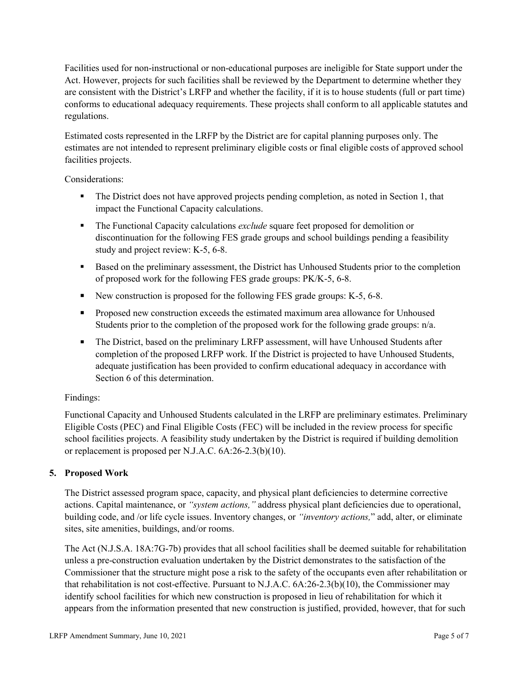Facilities used for non-instructional or non-educational purposes are ineligible for State support under the Act. However, projects for such facilities shall be reviewed by the Department to determine whether they are consistent with the District's LRFP and whether the facility, if it is to house students (full or part time) conforms to educational adequacy requirements. These projects shall conform to all applicable statutes and regulations.

Estimated costs represented in the LRFP by the District are for capital planning purposes only. The estimates are not intended to represent preliminary eligible costs or final eligible costs of approved school facilities projects.

Considerations:

- The District does not have approved projects pending completion, as noted in Section 1, that impact the Functional Capacity calculations.
- **The Functional Capacity calculations** *exclude* square feet proposed for demolition or discontinuation for the following FES grade groups and school buildings pending a feasibility study and project review: K-5, 6-8.
- **Based on the preliminary assessment, the District has Unhoused Students prior to the completion** of proposed work for the following FES grade groups: PK/K-5, 6-8.
- New construction is proposed for the following FES grade groups: K-5, 6-8.
- Proposed new construction exceeds the estimated maximum area allowance for Unhoused Students prior to the completion of the proposed work for the following grade groups: n/a.
- The District, based on the preliminary LRFP assessment, will have Unhoused Students after completion of the proposed LRFP work. If the District is projected to have Unhoused Students, adequate justification has been provided to confirm educational adequacy in accordance with Section 6 of this determination.

# Findings:

Functional Capacity and Unhoused Students calculated in the LRFP are preliminary estimates. Preliminary Eligible Costs (PEC) and Final Eligible Costs (FEC) will be included in the review process for specific school facilities projects. A feasibility study undertaken by the District is required if building demolition or replacement is proposed per N.J.A.C. 6A:26-2.3(b)(10).

# **5. Proposed Work**

The District assessed program space, capacity, and physical plant deficiencies to determine corrective actions. Capital maintenance, or *"system actions,"* address physical plant deficiencies due to operational, building code, and /or life cycle issues. Inventory changes, or *"inventory actions,*" add, alter, or eliminate sites, site amenities, buildings, and/or rooms.

The Act (N.J.S.A. 18A:7G-7b) provides that all school facilities shall be deemed suitable for rehabilitation unless a pre-construction evaluation undertaken by the District demonstrates to the satisfaction of the Commissioner that the structure might pose a risk to the safety of the occupants even after rehabilitation or that rehabilitation is not cost-effective. Pursuant to N.J.A.C. 6A:26-2.3(b)(10), the Commissioner may identify school facilities for which new construction is proposed in lieu of rehabilitation for which it appears from the information presented that new construction is justified, provided, however, that for such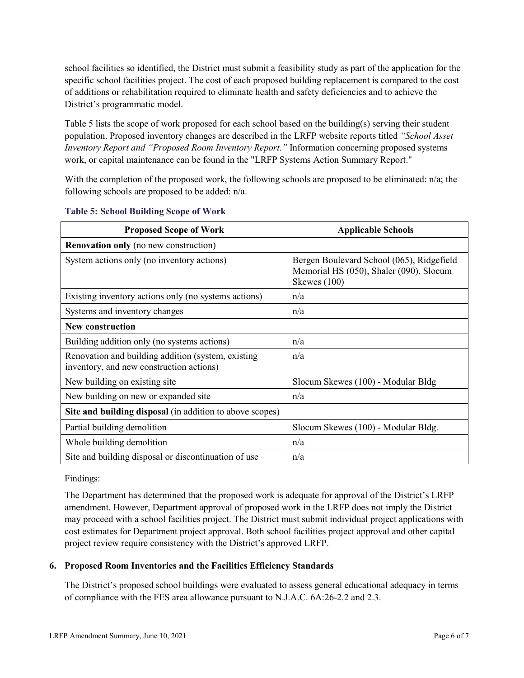school facilities so identified, the District must submit a feasibility study as part of the application for the specific school facilities project. The cost of each proposed building replacement is compared to the cost of additions or rehabilitation required to eliminate health and safety deficiencies and to achieve the District's programmatic model.

Table 5 lists the scope of work proposed for each school based on the building(s) serving their student population. Proposed inventory changes are described in the LRFP website reports titled *"School Asset Inventory Report and "Proposed Room Inventory Report."* Information concerning proposed systems work, or capital maintenance can be found in the "LRFP Systems Action Summary Report."

With the completion of the proposed work, the following schools are proposed to be eliminated: n/a; the following schools are proposed to be added: n/a.

| <b>Proposed Scope of Work</b>                                                                  | <b>Applicable Schools</b>                                                                            |
|------------------------------------------------------------------------------------------------|------------------------------------------------------------------------------------------------------|
| <b>Renovation only</b> (no new construction)                                                   |                                                                                                      |
| System actions only (no inventory actions)                                                     | Bergen Boulevard School (065), Ridgefield<br>Memorial HS (050), Shaler (090), Slocum<br>Skewes (100) |
| Existing inventory actions only (no systems actions)                                           | n/a                                                                                                  |
| Systems and inventory changes                                                                  | n/a                                                                                                  |
| <b>New construction</b>                                                                        |                                                                                                      |
| Building addition only (no systems actions)                                                    | n/a                                                                                                  |
| Renovation and building addition (system, existing<br>inventory, and new construction actions) | n/a                                                                                                  |
| New building on existing site                                                                  | Slocum Skewes (100) - Modular Bldg                                                                   |
| New building on new or expanded site                                                           | n/a                                                                                                  |
| Site and building disposal (in addition to above scopes)                                       |                                                                                                      |
| Partial building demolition                                                                    | Slocum Skewes (100) - Modular Bldg.                                                                  |
| Whole building demolition                                                                      | n/a                                                                                                  |
| Site and building disposal or discontinuation of use                                           | n/a                                                                                                  |

### **Table 5: School Building Scope of Work**

Findings:

The Department has determined that the proposed work is adequate for approval of the District's LRFP amendment. However, Department approval of proposed work in the LRFP does not imply the District may proceed with a school facilities project. The District must submit individual project applications with cost estimates for Department project approval. Both school facilities project approval and other capital project review require consistency with the District's approved LRFP.

# **6. Proposed Room Inventories and the Facilities Efficiency Standards**

The District's proposed school buildings were evaluated to assess general educational adequacy in terms of compliance with the FES area allowance pursuant to N.J.A.C. 6A:26-2.2 and 2.3.